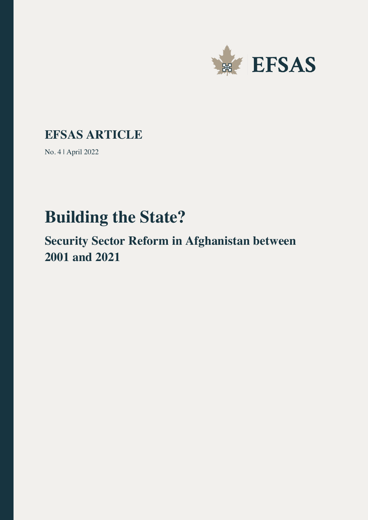

## **EFSAS ARTICLE**

No. 4 | April 2022

# **Building the State?**

**Security Sector Reform in Afghanistan between 2001 and 2021**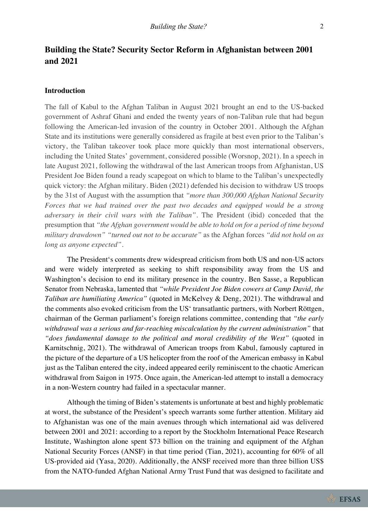### **Building the State? Security Sector Reform in Afghanistan between 2001 and 2021**

#### **Introduction**

The fall of Kabul to the Afghan Taliban in August 2021 brought an end to the US-backed government of Ashraf Ghani and ended the twenty years of non-Taliban rule that had begun following the American-led invasion of the country in October 2001. Although the Afghan State and its institutions were generally considered as fragile at best even prior to the Taliban's victory, the Taliban takeover took place more quickly than most international observers, including the United States' government, considered possible (Worsnop, 2021). In a speech in late August 2021, following the withdrawal of the last American troops from Afghanistan, US President Joe Biden found a ready scapegoat on which to blame to the Taliban's unexpectedly quick victory: the Afghan military. Biden (2021) defended his decision to withdraw US troops by the 31st of August with the assumption that *"more than 300,000 Afghan National Security Forces that we had trained over the past two decades and equipped would be a strong adversary in their civil wars with the Taliban"*. The President (ibid) conceded that the presumption that *"the Afghan government would be able to hold on for a period of time beyond military drawdown" "turned out not to be accurate"* as the Afghan forces *"did not hold on as long as anyone expected"*.

The President's comments drew widespread criticism from both US and non-US actors and were widely interpreted as seeking to shift responsibility away from the US and Washington's decision to end its military presence in the country. Ben Sasse, a Republican Senator from Nebraska, lamented that *"while President Joe Biden cowers at Camp David, the Taliban are humiliating America"* (quoted in McKelvey & Deng, 2021). The withdrawal and the comments also evoked criticism from the US' transatlantic partners, with Norbert Röttgen, chairman of the German parliament's foreign relations committee, contending that *"the early withdrawal was a serious and far-reaching miscalculation by the current administration"* that *"does fundamental damage to the political and moral credibility of the West"* (quoted in Karnitschnig, 2021). The withdrawal of American troops from Kabul, famously captured in the picture of the departure of a US helicopter from the roof of the American embassy in Kabul just as the Taliban entered the city, indeed appeared eerily reminiscent to the chaotic American withdrawal from Saigon in 1975. Once again, the American-led attempt to install a democracy in a non-Western country had failed in a spectacular manner.

Although the timing of Biden's statements is unfortunate at best and highly problematic at worst, the substance of the President's speech warrants some further attention. Military aid to Afghanistan was one of the main avenues through which international aid was delivered between 2001 and 2021: according to a report by the Stockholm International Peace Research Institute, Washington alone spent \$73 billion on the training and equipment of the Afghan National Security Forces (ANSF) in that time period (Tian, 2021), accounting for 60% of all US-provided aid (Yasa, 2020). Additionally, the ANSF received more than three billion US\$ from the NATO-funded Afghan National Army Trust Fund that was designed to facilitate and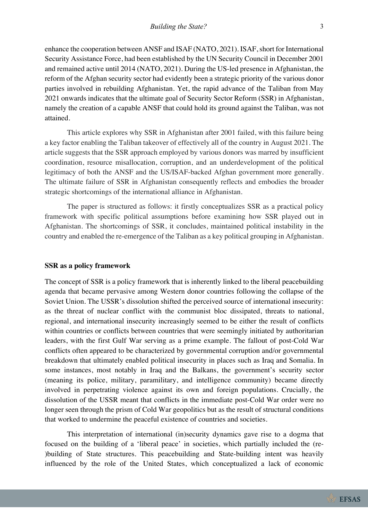enhance the cooperation between ANSF and ISAF (NATO, 2021). ISAF, short for International Security Assistance Force, had been established by the UN Security Council in December 2001 and remained active until 2014 (NATO, 2021). During the US-led presence in Afghanistan, the reform of the Afghan security sector had evidently been a strategic priority of the various donor parties involved in rebuilding Afghanistan. Yet, the rapid advance of the Taliban from May 2021 onwards indicates that the ultimate goal of Security Sector Reform (SSR) in Afghanistan, namely the creation of a capable ANSF that could hold its ground against the Taliban, was not attained.

This article explores why SSR in Afghanistan after 2001 failed, with this failure being a key factor enabling the Taliban takeover of effectively all of the country in August 2021. The article suggests that the SSR approach employed by various donors was marred by insufficient coordination, resource misallocation, corruption, and an underdevelopment of the political legitimacy of both the ANSF and the US/ISAF-backed Afghan government more generally. The ultimate failure of SSR in Afghanistan consequently reflects and embodies the broader strategic shortcomings of the international alliance in Afghanistan.

The paper is structured as follows: it firstly conceptualizes SSR as a practical policy framework with specific political assumptions before examining how SSR played out in Afghanistan. The shortcomings of SSR, it concludes, maintained political instability in the country and enabled the re-emergence of the Taliban as a key political grouping in Afghanistan.

#### **SSR as a policy framework**

The concept of SSR is a policy framework that is inherently linked to the liberal peacebuilding agenda that became pervasive among Western donor countries following the collapse of the Soviet Union. The USSR's dissolution shifted the perceived source of international insecurity: as the threat of nuclear conflict with the communist bloc dissipated, threats to national, regional, and international insecurity increasingly seemed to be either the result of conflicts within countries or conflicts between countries that were seemingly initiated by authoritarian leaders, with the first Gulf War serving as a prime example. The fallout of post-Cold War conflicts often appeared to be characterized by governmental corruption and/or governmental breakdown that ultimately enabled political insecurity in places such as Iraq and Somalia. In some instances, most notably in Iraq and the Balkans, the government's security sector (meaning its police, military, paramilitary, and intelligence community) became directly involved in perpetrating violence against its own and foreign populations. Crucially, the dissolution of the USSR meant that conflicts in the immediate post-Cold War order were no longer seen through the prism of Cold War geopolitics but as the result of structural conditions that worked to undermine the peaceful existence of countries and societies.

This interpretation of international (in)security dynamics gave rise to a dogma that focused on the building of a 'liberal peace' in societies, which partially included the (re- )building of State structures. This peacebuilding and State-building intent was heavily influenced by the role of the United States, which conceptualized a lack of economic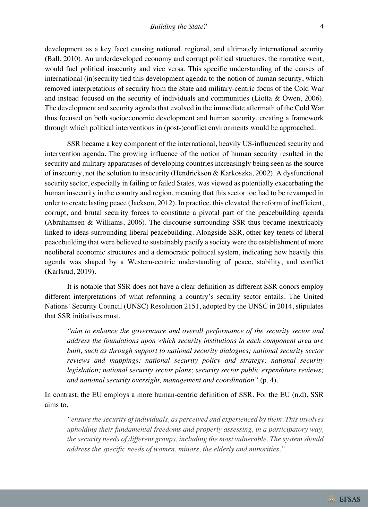development as a key facet causing national, regional, and ultimately international security (Ball, 2010). An underdeveloped economy and corrupt political structures, the narrative went, would fuel political insecurity and vice versa. This specific understanding of the causes of international (in)security tied this development agenda to the notion of human security, which removed interpretations of security from the State and military-centric focus of the Cold War and instead focused on the security of individuals and communities (Liotta & Owen, 2006). The development and security agenda that evolved in the immediate aftermath of the Cold War thus focused on both socioeconomic development and human security, creating a framework through which political interventions in (post-)conflict environments would be approached.

SSR became a key component of the international, heavily US-influenced security and intervention agenda. The growing influence of the notion of human security resulted in the security and military apparatuses of developing countries increasingly being seen as the source of insecurity, not the solution to insecurity (Hendrickson & Karkoszka, 2002). A dysfunctional security sector, especially in failing or failed States, was viewed as potentially exacerbating the human insecurity in the country and region, meaning that this sector too had to be revamped in order to create lasting peace (Jackson, 2012). In practice, this elevated the reform of inefficient, corrupt, and brutal security forces to constitute a pivotal part of the peacebuilding agenda (Abrahamsen & Williams, 2006). The discourse surrounding SSR thus became inextricably linked to ideas surrounding liberal peacebuilding. Alongside SSR, other key tenets of liberal peacebuilding that were believed to sustainably pacify a society were the establishment of more neoliberal economic structures and a democratic political system, indicating how heavily this agenda was shaped by a Western-centric understanding of peace, stability, and conflict (Karlsrud, 2019).

It is notable that SSR does not have a clear definition as different SSR donors employ different interpretations of what reforming a country's security sector entails. The United Nations' Security Council (UNSC) Resolution 2151, adopted by the UNSC in 2014, stipulates that SSR initiatives must,

*"aim to enhance the governance and overall performance of the security sector and address the foundations upon which security institutions in each component area are built, such as through support to national security dialogues; national security sector reviews and mappings; national security policy and strategy; national security legislation; national security sector plans; security sector public expenditure reviews; and national security oversight, management and coordination"* (p. 4).

In contrast, the EU employs a more human-centric definition of SSR. For the EU (n.d), SSR aims to,

*"ensure the security of individuals, as perceived and experienced by them. This involves upholding their fundamental freedoms and properly assessing, in a participatory way, the security needs of different groups, including the most vulnerable. The system should address the specific needs of women, minors, the elderly and minorities."*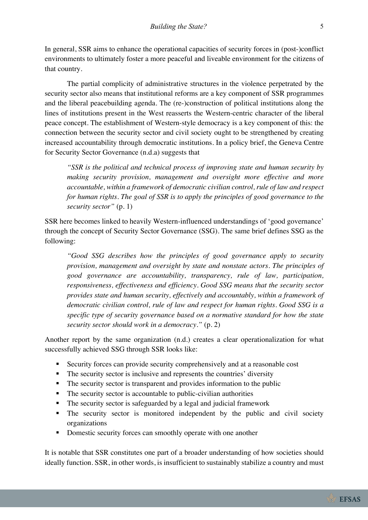In general, SSR aims to enhance the operational capacities of security forces in (post-)conflict environments to ultimately foster a more peaceful and liveable environment for the citizens of that country.

The partial complicity of administrative structures in the violence perpetrated by the security sector also means that institutional reforms are a key component of SSR programmes and the liberal peacebuilding agenda. The (re-)construction of political institutions along the lines of institutions present in the West reasserts the Western-centric character of the liberal peace concept. The establishment of Western-style democracy is a key component of this: the connection between the security sector and civil society ought to be strengthened by creating increased accountability through democratic institutions. In a policy brief, the Geneva Centre for Security Sector Governance (n.d.a) suggests that

*"SSR is the political and technical process of improving state and human security by making security provision, management and oversight more effective and more accountable, within a framework of democratic civilian control, rule of law and respect for human rights. The goal of SSR is to apply the principles of good governance to the security sector"* (p. 1)

SSR here becomes linked to heavily Western-influenced understandings of 'good governance' through the concept of Security Sector Governance (SSG). The same brief defines SSG as the following:

*"Good SSG describes how the principles of good governance apply to security provision, management and oversight by state and nonstate actors. The principles of good governance are accountability, transparency, rule of law, participation, responsiveness, effectiveness and efficiency. Good SSG means that the security sector provides state and human security, effectively and accountably, within a framework of democratic civilian control, rule of law and respect for human rights. Good SSG is a specific type of security governance based on a normative standard for how the state security sector should work in a democracy."* (p. 2)

Another report by the same organization (n.d.) creates a clear operationalization for what successfully achieved SSG through SSR looks like:

- § Security forces can provide security comprehensively and at a reasonable cost
- The security sector is inclusive and represents the countries' diversity
- The security sector is transparent and provides information to the public
- The security sector is accountable to public-civilian authorities
- The security sector is safeguarded by a legal and judicial framework
- The security sector is monitored independent by the public and civil society organizations
- Domestic security forces can smoothly operate with one another

It is notable that SSR constitutes one part of a broader understanding of how societies should ideally function. SSR, in other words, is insufficient to sustainably stabilize a country and must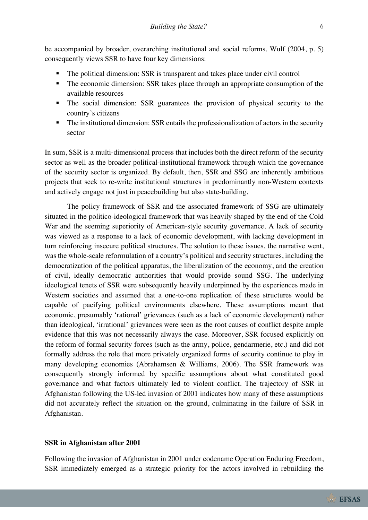be accompanied by broader, overarching institutional and social reforms. Wulf (2004, p. 5) consequently views SSR to have four key dimensions:

- The political dimension: SSR is transparent and takes place under civil control
- The economic dimension: SSR takes place through an appropriate consumption of the available resources
- The social dimension: SSR guarantees the provision of physical security to the country's citizens
- The institutional dimension: SSR entails the professionalization of actors in the security sector

In sum, SSR is a multi-dimensional process that includes both the direct reform of the security sector as well as the broader political-institutional framework through which the governance of the security sector is organized. By default, then, SSR and SSG are inherently ambitious projects that seek to re-write institutional structures in predominantly non-Western contexts and actively engage not just in peacebuilding but also state-building.

The policy framework of SSR and the associated framework of SSG are ultimately situated in the politico-ideological framework that was heavily shaped by the end of the Cold War and the seeming superiority of American-style security governance. A lack of security was viewed as a response to a lack of economic development, with lacking development in turn reinforcing insecure political structures. The solution to these issues, the narrative went, was the whole-scale reformulation of a country's political and security structures, including the democratization of the political apparatus, the liberalization of the economy, and the creation of civil, ideally democratic authorities that would provide sound SSG. The underlying ideological tenets of SSR were subsequently heavily underpinned by the experiences made in Western societies and assumed that a one-to-one replication of these structures would be capable of pacifying political environments elsewhere. These assumptions meant that economic, presumably 'rational' grievances (such as a lack of economic development) rather than ideological, 'irrational' grievances were seen as the root causes of conflict despite ample evidence that this was not necessarily always the case. Moreover, SSR focused explicitly on the reform of formal security forces (such as the army, police, gendarmerie, etc.) and did not formally address the role that more privately organized forms of security continue to play in many developing economies (Abrahamsen & Williams, 2006). The SSR framework was consequently strongly informed by specific assumptions about what constituted good governance and what factors ultimately led to violent conflict. The trajectory of SSR in Afghanistan following the US-led invasion of 2001 indicates how many of these assumptions did not accurately reflect the situation on the ground, culminating in the failure of SSR in Afghanistan.

#### **SSR in Afghanistan after 2001**

Following the invasion of Afghanistan in 2001 under codename Operation Enduring Freedom, SSR immediately emerged as a strategic priority for the actors involved in rebuilding the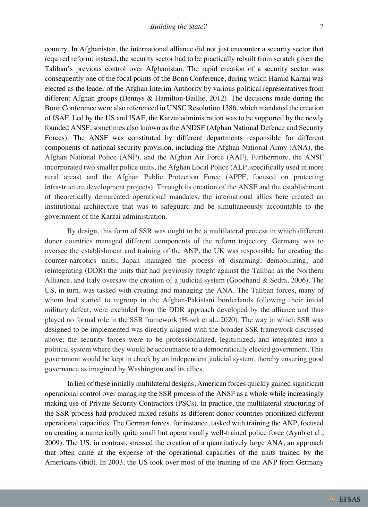country. In Afghanistan, the international alliance did not just encounter a security sector that required reform: instead, the security sector had to be practically rebuilt from scratch given the Taliban's previous control over Afghanistan. The rapid creation of a security sector was consequently one of the focal points of the Bonn Conference, during which Hamid Karzai was elected as the leader of the Afghan Interim Authority by various political representatives from different Afghan groups (Dennys & Hamilton-Baillie, 2012). The decisions made during the Bonn Conference were also referenced in UNSC Resolution 1386, which mandated the creation of ISAF. Led by the US and ISAF, the Karzai administration was to be supported by the newly founded ANSF, sometimes also known as the ANDSF (Afghan National Defence and Security Forces). The ANSF was constituted by different departments responsible for different components of national security provision, including the Afghan National Army (ANA), the Afghan National Police (ANP), and the Afghan Air Force (AAF). Furthermore, the ANSF incorporated two smaller police units, the Afghan Local Police (ALP, specifically used in more rural areas) and the Afghan Public Protection Force (APPF, focused on protecting infrastructure development projects). Through its creation of the ANSF and the establishment of theoretically demarcated operational mandates, the international allies here created an institutional architecture that was to safeguard and be simultaneously accountable to the government of the Karzai administration.

By design, this form of SSR was ought to be a multilateral process in which different donor countries managed different components of the reform trajectory. Germany was to oversee the establishment and training of the ANP, the UK was responsible for creating the counter-narcotics units, Japan managed the process of disarming, demobilizing, and reintegrating (DDR) the units that had previously fought against the Taliban as the Northern Alliance, and Italy oversaw the creation of a judicial system (Goodhand & Sedra, 2006). The US, in turn, was tasked with creating and managing the ANA. The Taliban forces, many of whom had started to regroup in the Afghan-Pakistani borderlands following their initial military defeat, were excluded from the DDR approach developed by the alliance and thus played no formal role in the SSR framework (Howk et al., 2020). The way in which SSR was designed to be implemented was directly aligned with the broader SSR framework discussed above: the security forces were to be professionalized, legitimized, and integrated into a political system where they would be accountable to a democratically elected government. This government would be kept in check by an independent judicial system, thereby ensuring good governance as imagined by Washington and its allies.

In lieu of these initially multilateral designs, American forces quickly gained significant operational control over managing the SSR process of the ANSF as a whole while increasingly making use of Private Security Contractors (PSCs). In practice, the multilateral structuring of the SSR process had produced mixed results as different donor countries prioritized different operational capacities. The German forces, for instance, tasked with training the ANP, focused on creating a numerically quite small but operationally well-trained police force (Ayub et al., 2009). The US, in contrast, stressed the creation of a quantitatively large ANA, an approach that often came at the expense of the operational capacities of the units trained by the Americans (ibid). In 2003, the US took over most of the training of the ANP from Germany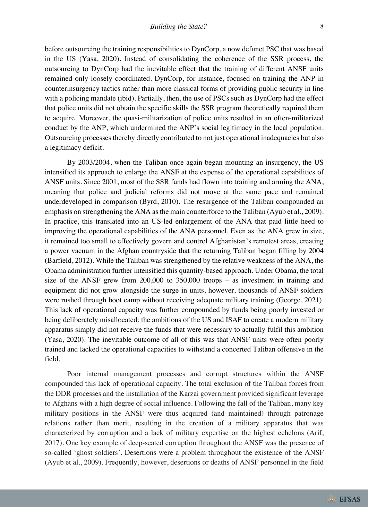before outsourcing the training responsibilities to DynCorp, a now defunct PSC that was based in the US (Yasa, 2020). Instead of consolidating the coherence of the SSR process, the outsourcing to DynCorp had the inevitable effect that the training of different ANSF units remained only loosely coordinated. DynCorp, for instance, focused on training the ANP in counterinsurgency tactics rather than more classical forms of providing public security in line with a policing mandate (ibid). Partially, then, the use of PSCs such as DynCorp had the effect that police units did not obtain the specific skills the SSR program theoretically required them to acquire. Moreover, the quasi-militarization of police units resulted in an often-militarized conduct by the ANP, which undermined the ANP's social legitimacy in the local population. Outsourcing processes thereby directly contributed to not just operational inadequacies but also a legitimacy deficit.

By 2003/2004, when the Taliban once again began mounting an insurgency, the US intensified its approach to enlarge the ANSF at the expense of the operational capabilities of ANSF units. Since 2001, most of the SSR funds had flown into training and arming the ANA, meaning that police and judicial reforms did not move at the same pace and remained underdeveloped in comparison (Byrd, 2010). The resurgence of the Taliban compounded an emphasis on strengthening the ANA as the main counterforce to the Taliban (Ayub et al., 2009). In practice, this translated into an US-led enlargement of the ANA that paid little heed to improving the operational capabilities of the ANA personnel. Even as the ANA grew in size, it remained too small to effectively govern and control Afghanistan's remotest areas, creating a power vacuum in the Afghan countryside that the returning Taliban began filling by 2004 (Barfield, 2012). While the Taliban was strengthened by the relative weakness of the ANA, the Obama administration further intensified this quantity-based approach. Under Obama, the total size of the ANSF grew from 200,000 to 350,000 troops – as investment in training and equipment did not grow alongside the surge in units, however, thousands of ANSF soldiers were rushed through boot camp without receiving adequate military training (George, 2021). This lack of operational capacity was further compounded by funds being poorly invested or being deliberately misallocated: the ambitions of the US and ISAF to create a modern military apparatus simply did not receive the funds that were necessary to actually fulfil this ambition (Yasa, 2020). The inevitable outcome of all of this was that ANSF units were often poorly trained and lacked the operational capacities to withstand a concerted Taliban offensive in the field.

Poor internal management processes and corrupt structures within the ANSF compounded this lack of operational capacity. The total exclusion of the Taliban forces from the DDR processes and the installation of the Karzai government provided significant leverage to Afghans with a high degree of social influence. Following the fall of the Taliban, many key military positions in the ANSF were thus acquired (and maintained) through patronage relations rather than merit, resulting in the creation of a military apparatus that was characterized by corruption and a lack of military expertise on the highest echelons (Arif, 2017). One key example of deep-seated corruption throughout the ANSF was the presence of so-called 'ghost soldiers'. Desertions were a problem throughout the existence of the ANSF (Ayub et al., 2009). Frequently, however, desertions or deaths of ANSF personnel in the field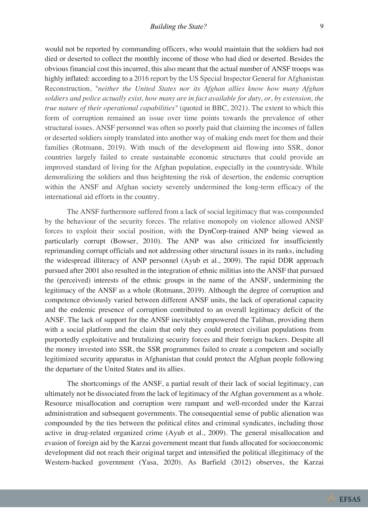would not be reported by commanding officers, who would maintain that the soldiers had not died or deserted to collect the monthly income of those who had died or deserted. Besides the obvious financial cost this incurred, this also meant that the actual number of ANSF troops was highly inflated: according to a 2016 report by the US Special Inspector General for Afghanistan Reconstruction, *"neither the United States nor its Afghan allies know how many Afghan soldiers and police actually exist, how many are in fact available for duty, or, by extension, the true nature of their operational capabilities"* (quoted in BBC, 2021). The extent to which this form of corruption remained an issue over time points towards the prevalence of other structural issues. ANSF personnel was often so poorly paid that claiming the incomes of fallen or deserted soldiers simply translated into another way of making ends meet for them and their families (Rotmann, 2019). With much of the development aid flowing into SSR, donor countries largely failed to create sustainable economic structures that could provide an improved standard of living for the Afghan population, especially in the countryside. While demoralizing the soldiers and thus heightening the risk of desertion, the endemic corruption within the ANSF and Afghan society severely undermined the long-term efficacy of the international aid efforts in the country.

The ANSF furthermore suffered from a lack of social legitimacy that was compounded by the behaviour of the security forces. The relative monopoly on violence allowed ANSF forces to exploit their social position, with the DynCorp-trained ANP being viewed as particularly corrupt (Bowser, 2010). The ANP was also criticized for insufficiently reprimanding corrupt officials and not addressing other structural issues in its ranks, including the widespread illiteracy of ANP personnel (Ayub et al., 2009). The rapid DDR approach pursued after 2001 also resulted in the integration of ethnic militias into the ANSF that pursued the (perceived) interests of the ethnic groups in the name of the ANSF, undermining the legitimacy of the ANSF as a whole (Rotmann, 2019). Although the degree of corruption and competence obviously varied between different ANSF units, the lack of operational capacity and the endemic presence of corruption contributed to an overall legitimacy deficit of the ANSF. The lack of support for the ANSF inevitably empowered the Taliban, providing them with a social platform and the claim that only they could protect civilian populations from purportedly exploitative and brutalizing security forces and their foreign backers. Despite all the money invested into SSR, the SSR programmes failed to create a competent and socially legitimized security apparatus in Afghanistan that could protect the Afghan people following the departure of the United States and its allies.

The shortcomings of the ANSF, a partial result of their lack of social legitimacy, can ultimately not be dissociated from the lack of legitimacy of the Afghan government as a whole. Resource misallocation and corruption were rampant and well-recorded under the Karzai administration and subsequent governments. The consequential sense of public alienation was compounded by the ties between the political elites and criminal syndicates, including those active in drug-related organized crime (Ayub et al., 2009). The general misallocation and evasion of foreign aid by the Karzai government meant that funds allocated for socioeconomic development did not reach their original target and intensified the political illegitimacy of the Western-backed government (Yasa, 2020). As Barfield (2012) observes, the Karzai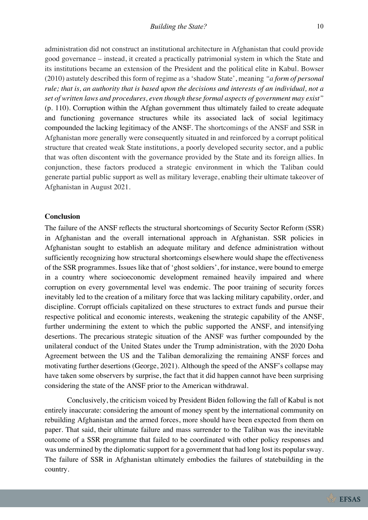administration did not construct an institutional architecture in Afghanistan that could provide good governance – instead, it created a practically patrimonial system in which the State and its institutions became an extension of the President and the political elite in Kabul. Bowser (2010) astutely described this form of regime as a 'shadow State', meaning *"a form of personal rule; that is, an authority that is based upon the decisions and interests of an individual, not a set of written laws and procedures, even though these formal aspects of government may exist"* (p. 110). Corruption within the Afghan government thus ultimately failed to create adequate and functioning governance structures while its associated lack of social legitimacy compounded the lacking legitimacy of the ANSF. The shortcomings of the ANSF and SSR in Afghanistan more generally were consequently situated in and reinforced by a corrupt political structure that created weak State institutions, a poorly developed security sector, and a public that was often discontent with the governance provided by the State and its foreign allies. In conjunction, these factors produced a strategic environment in which the Taliban could generate partial public support as well as military leverage, enabling their ultimate takeover of Afghanistan in August 2021.

#### **Conclusion**

The failure of the ANSF reflects the structural shortcomings of Security Sector Reform (SSR) in Afghanistan and the overall international approach in Afghanistan. SSR policies in Afghanistan sought to establish an adequate military and defence administration without sufficiently recognizing how structural shortcomings elsewhere would shape the effectiveness of the SSR programmes. Issues like that of 'ghost soldiers', for instance, were bound to emerge in a country where socioeconomic development remained heavily impaired and where corruption on every governmental level was endemic. The poor training of security forces inevitably led to the creation of a military force that was lacking military capability, order, and discipline. Corrupt officials capitalized on these structures to extract funds and pursue their respective political and economic interests, weakening the strategic capability of the ANSF, further undermining the extent to which the public supported the ANSF, and intensifying desertions. The precarious strategic situation of the ANSF was further compounded by the unilateral conduct of the United States under the Trump administration, with the 2020 Doha Agreement between the US and the Taliban demoralizing the remaining ANSF forces and motivating further desertions (George, 2021). Although the speed of the ANSF's collapse may have taken some observers by surprise, the fact that it did happen cannot have been surprising considering the state of the ANSF prior to the American withdrawal.

Conclusively, the criticism voiced by President Biden following the fall of Kabul is not entirely inaccurate: considering the amount of money spent by the international community on rebuilding Afghanistan and the armed forces, more should have been expected from them on paper. That said, their ultimate failure and mass surrender to the Taliban was the inevitable outcome of a SSR programme that failed to be coordinated with other policy responses and was undermined by the diplomatic support for a government that had long lost its popular sway. The failure of SSR in Afghanistan ultimately embodies the failures of statebuilding in the country.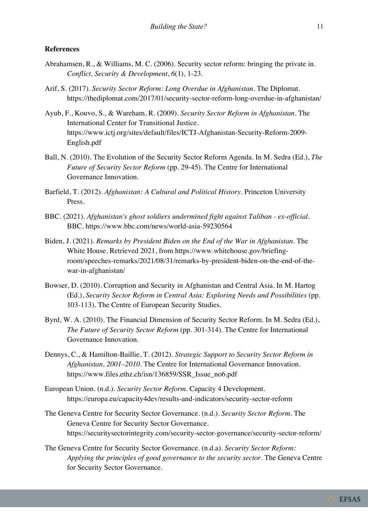#### **References**

- Abrahamsen, R., & Williams, M. C. (2006). Security sector reform: bringing the private in. *Conflict, Security & Development*, *6*(1), 1-23.
- Arif, S. (2017). *Security Sector Reform: Long Overdue in Afghanistan*. The Diplomat. https://thediplomat.com/2017/01/security-sector-reform-long-overdue-in-afghanistan/
- Ayub, F., Kouvo, S., & Wareham, R. (2009). *Security Sector Reform in Afghanistan*. The International Center for Transitional Justice. https://www.ictj.org/sites/default/files/ICTJ-Afghanistan-Security-Reform-2009- English.pdf
- Ball, N. (2010). The Evolution of the Security Sector Reform Agenda. In M. Sedra (Ed.), *The Future of Security Sector Reform* (pp. 29-45). The Centre for International Governance Innovation.
- Barfield, T. (2012). *Afghanistan: A Cultural and Political History*. Princeton University Press.
- BBC. (2021). *Afghanistan's ghost soldiers undermined fight against Taliban - ex-official*. BBC. https://www.bbc.com/news/world-asia-59230564
- Biden, J. (2021). *Remarks by President Biden on the End of the War in Afghanistan*. The White House. Retrieved 2021, from https://www.whitehouse.gov/briefingroom/speeches-remarks/2021/08/31/remarks-by-president-biden-on-the-end-of-thewar-in-afghanistan/
- Bowser, D. (2010). Corruption and Security in Afghanistan and Central Asia. In M. Hartog (Ed.), *Security Sector Reform in Central Asia: Exploring Needs and Possibilities* (pp. 103-113). The Centre of European Security Studies.
- Byrd, W. A. (2010). The Financial Dimension of Security Sector Reform. In M. Sedra (Ed.), *The Future of Security Sector Reform* (pp. 301-314). The Centre for International Governance Innovation.
- Dennys, C., & Hamilton-Baillie, T. (2012). *Strategic Support to Security Sector Reform in Afghanistan, 2001–2010*. The Centre for International Governance Innovation. https://www.files.ethz.ch/isn/136859/SSR\_Issue\_no6.pdf
- European Union. (n.d.). *Security Sector Reform*. Capacity 4 Development. https://europa.eu/capacity4dev/results-and-indicators/security-sector-reform
- The Geneva Centre for Security Sector Governance. (n.d.). *Security Sector Reform*. The Geneva Centre for Security Sector Governance. https://securitysectorintegrity.com/security-sector-governance/security-sector-reform/
- The Geneva Centre for Security Sector Governance. (n.d.a). *Security Sector Reform: Applying the principles of good governance to the security sector*. The Geneva Centre for Security Sector Governance.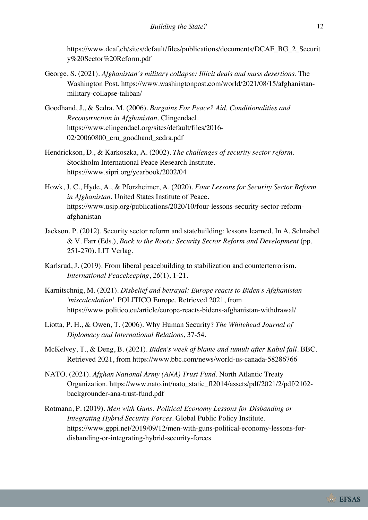https://www.dcaf.ch/sites/default/files/publications/documents/DCAF\_BG\_2\_Securit y%20Sector%20Reform.pdf

- George, S. (2021). *Afghanistan's military collapse: Illicit deals and mass desertions*. The Washington Post. https://www.washingtonpost.com/world/2021/08/15/afghanistanmilitary-collapse-taliban/
- Goodhand, J., & Sedra, M. (2006). *Bargains For Peace? Aid, Conditionalities and Reconstruction in Afghanistan*. Clingendael. https://www.clingendael.org/sites/default/files/2016- 02/20060800\_cru\_goodhand\_sedra.pdf
- Hendrickson, D., & Karkoszka, A. (2002). *The challenges of security sector reform*. Stockholm International Peace Research Institute. https://www.sipri.org/yearbook/2002/04
- Howk, J. C., Hyde, A., & Pforzheimer, A. (2020). *Four Lessons for Security Sector Reform in Afghanistan*. United States Institute of Peace. https://www.usip.org/publications/2020/10/four-lessons-security-sector-reformafghanistan
- Jackson, P. (2012). Security sector reform and statebuilding: lessons learned. In A. Schnabel & V. Farr (Eds.), *Back to the Roots: Security Sector Reform and Development* (pp. 251-270). LIT Verlag.
- Karlsrud, J. (2019). From liberal peacebuilding to stabilization and counterterrorism. *International Peacekeeping*, *26*(1), 1-21.
- Karnitschnig, M. (2021). *Disbelief and betrayal: Europe reacts to Biden's Afghanistan 'miscalculation'*. POLITICO Europe. Retrieved 2021, from https://www.politico.eu/article/europe-reacts-bidens-afghanistan-withdrawal/
- Liotta, P. H., & Owen, T. (2006). Why Human Security? *The Whitehead Journal of Diplomacy and International Relations*, 37-54.
- McKelvey, T., & Deng, B. (2021). *Biden's week of blame and tumult after Kabul fall*. BBC. Retrieved 2021, from https://www.bbc.com/news/world-us-canada-58286766
- NATO. (2021). *Afghan National Army (ANA) Trust Fund*. North Atlantic Treaty Organization. https://www.nato.int/nato\_static\_fl2014/assets/pdf/2021/2/pdf/2102 backgrounder-ana-trust-fund.pdf
- Rotmann, P. (2019). *Men with Guns: Political Economy Lessons for Disbanding or Integrating Hybrid Security Forces*. Global Public Policy Institute. https://www.gppi.net/2019/09/12/men-with-guns-political-economy-lessons-fordisbanding-or-integrating-hybrid-security-forces